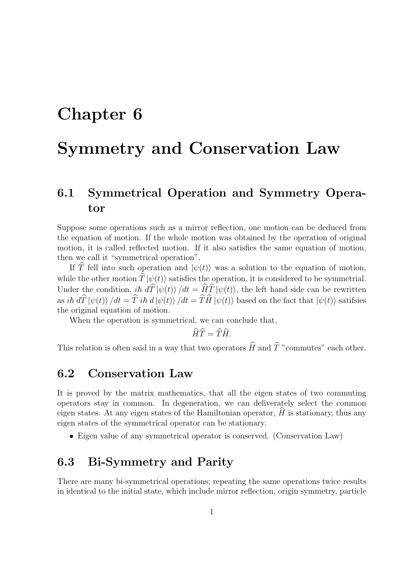## Chapter 6

# Symmetry and Conservation Law

## 6.1 Symmetrical Operation and Symmetry Operator

Suppose some operations such as a mirror reflection, one motion can be deduced from the equation of motion. If the whole motion was obtained by the operation of original motion, it is called reflected motion. If it also satisfies the same equation of motion, then we call it "symmetrical operation".

If  $\hat{T}$  fell into such operation and  $|\psi(t)\rangle$  was a solution to the equation of motion, while the other motion  $\hat{T} |\psi(t)\rangle$  satisfies the operation, it is considered to be symmetrial. Under the condition,  $i\hbar d\hat{T}|\psi(t)\rangle/dt = \hat{H}\hat{T}|\psi(t)\rangle$ , the left hand side can be rewritten as ih  $d\hat{T}|\psi(t)\rangle/dt = \hat{T}$  ih  $d|\psi(t)\rangle/dt = \hat{T}\hat{H}|\psi(t)\rangle$  based on the fact that  $|\psi(t)\rangle$  satifsies the original equation of motion.

When the operation is symmetrical, we can conclude that,

$$
\widehat{H}\widehat{T} = \widehat{T}\widehat{H}.
$$

This relation is often said in a way that two operators  $\widehat{H}$  and  $\widehat{T}$  "commutes" each other.

#### 6.2 Conservation Law

It is proved by the matrix mathematics, that all the eigen states of two commuting operators stay in common. In degeneration, we can deliverately select the common eigen states. At any eigen states of the Hamiltonian operator,  $H$  is stationary, thus any eigen states of the symmetrical operator can be stationary.

• Eigen value of any symmetrical operator is conserved. (Conservation Law)

#### 6.3 Bi-Symmetry and Parity

There are many bi-symmetrical operations; repeating the same operations twice results in identical to the initial state, which include mirror reflection, origin symmetry, particle